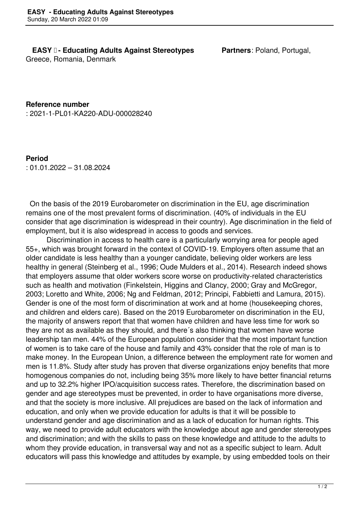## **EASY I- Educating Adults Against Stereotypes Partners: Poland, Portugal,**

Greece, Romania, Denmark

**Reference number** : 2021-1-PL01-KA220-ADU-000028240

**Period** : 01.01.2022 – 31.08.2024

 On the basis of the 2019 Eurobarometer on discrimination in the EU, age discrimination remains one of the most prevalent forms of discrimination. (40% of individuals in the EU consider that age discrimination is widespread in their country). Age discrimination in the field of employment, but it is also widespread in access to goods and services.

 Discrimination in access to health care is a particularly worrying area for people aged 55+, which was brought forward in the context of COVID-19. Employers often assume that an older candidate is less healthy than a younger candidate, believing older workers are less healthy in general (Steinberg et al., 1996; Oude Mulders et al., 2014). Research indeed shows that employers assume that older workers score worse on productivity-related characteristics such as health and motivation (Finkelstein, Higgins and Clancy, 2000; Gray and McGregor, 2003; Loretto and White, 2006; Ng and Feldman, 2012; Principi, Fabbietti and Lamura, 2015). Gender is one of the most form of discrimination at work and at home (housekeeping chores, and children and elders care). Based on the 2019 Eurobarometer on discrimination in the EU, the majority of answers report that that women have children and have less time for work so they are not as available as they should, and there´s also thinking that women have worse leadership tan men. 44% of the European population consider that the most important function of women is to take care of the house and family and 43% consider that the role of man is to make money. In the European Union, a difference between the employment rate for women and men is 11.8%. Study after study has proven that diverse organizations enjoy benefits that more homogenous companies do not, including being 35% more likely to have better financial returns and up to 32.2% higher IPO/acquisition success rates. Therefore, the discrimination based on gender and age stereotypes must be prevented, in order to have organisations more diverse, and that the society is more inclusive. All prejudices are based on the lack of information and education, and only when we provide education for adults is that it will be possible to understand gender and age discrimination and as a lack of education for human rights. This way, we need to provide adult educators with the knowledge about age and gender stereotypes and discrimination; and with the skills to pass on these knowledge and attitude to the adults to whom they provide education, in transversal way and not as a specific subject to learn. Adult educators will pass this knowledge and attitudes by example, by using embedded tools on their